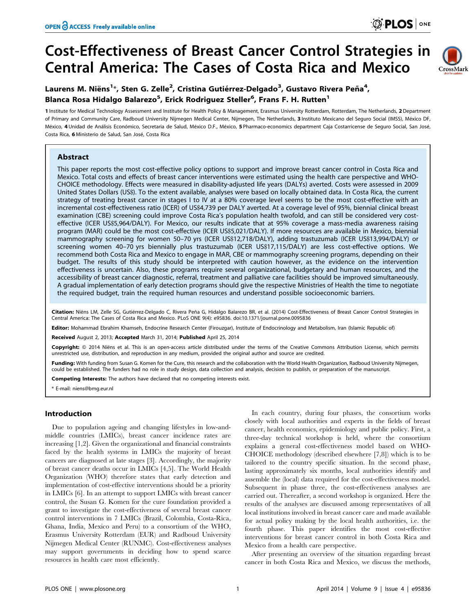# Cost-Effectiveness of Breast Cancer Control Strategies in Central America: The Cases of Costa Rica and Mexico



## Laurens M. Niëns<sup>1</sup>\*, Sten G. Zelle<sup>2</sup>, Cristina Gutiérrez-Delgado<sup>3</sup>, Gustavo Rivera Peña<sup>4</sup>, Blanca Rosa Hidalgo Balarezo<sup>5</sup>, Erick Rodriguez Steller<sup>6</sup>, Frans F. H. Rutten<sup>1</sup>

1 Institute for Medical Technology Assessment and Institute for Health Policy & Management, Erasmus University Rotterdam, Rotterdam, The Netherlands, 2 Department of Primary and Community Care, Radboud University Nijmegen Medical Center, Nijmegen, The Netherlands, 3 Instituto Mexicano del Seguro Social (IMSS), Me´xico DF, México, 4 Unidad de Análisis Económico, Secretaria de Salud, México D.F., México, 5 Pharmaco-economics department Caja Costarricense de Seguro Social, San José, Costa Rica, 6 Ministerio de Salud, San José, Costa Rica

## Abstract

This paper reports the most cost-effective policy options to support and improve breast cancer control in Costa Rica and Mexico. Total costs and effects of breast cancer interventions were estimated using the health care perspective and WHO-CHOICE methodology. Effects were measured in disability-adjusted life years (DALYs) averted. Costs were assessed in 2009 United States Dollars (US\$). To the extent available, analyses were based on locally obtained data. In Costa Rica, the current strategy of treating breast cancer in stages I to IV at a 80% coverage level seems to be the most cost-effective with an incremental cost-effectiveness ratio (ICER) of US\$4,739 per DALY averted. At a coverage level of 95%, biennial clinical breast examination (CBE) screening could improve Costa Rica's population health twofold, and can still be considered very costeffective (ICER US\$5,964/DALY). For Mexico, our results indicate that at 95% coverage a mass-media awareness raising program (MAR) could be the most cost-effective (ICER US\$5,021/DALY). If more resources are available in Mexico, biennial mammography screening for women 50–70 yrs (ICER US\$12,718/DALY), adding trastuzumab (ICER US\$13,994/DALY) or screening women 40–70 yrs biennially plus trastuzumab (ICER US\$17,115/DALY) are less cost-effective options. We recommend both Costa Rica and Mexico to engage in MAR, CBE or mammography screening programs, depending on their budget. The results of this study should be interpreted with caution however, as the evidence on the intervention effectiveness is uncertain. Also, these programs require several organizational, budgetary and human resources, and the accessibility of breast cancer diagnostic, referral, treatment and palliative care facilities should be improved simultaneously. A gradual implementation of early detection programs should give the respective Ministries of Health the time to negotiate the required budget, train the required human resources and understand possible socioeconomic barriers.

Citation: Niëns LM, Zelle SG, Gutiérrez-Delgado C, Rivera Peña G, Hidalgo Balarezo BR, et al. (2014) Cost-Effectiveness of Breast Cancer Control Strategies in Central America: The Cases of Costa Rica and Mexico. PLoS ONE 9(4): e95836. doi:10.1371/journal.pone.0095836

Editor: Mohammad Ebrahim Khamseh, Endocrine Research Center (Firouzgar), Institute of Endocrinology and Metabolism, Iran (Islamic Republic of)

Received August 2, 2013; Accepted March 31, 2014; Published April 25, 2014

Copyright: © 2014 Niëns et al. This is an open-access article distributed under the terms of the [Creative Commons Attribution License,](http://creativecommons.org/licenses/by/4.0/) which permits unrestricted use, distribution, and reproduction in any medium, provided the original author and source are credited.

Funding: With funding from Susan G. Komen for the Cure, this research and the collaboration with the World Health Organization, Radboud University Nijmegen, could be established. The funders had no role in study design, data collection and analysis, decision to publish, or preparation of the manuscript.

Competing Interests: The authors have declared that no competing interests exist.

\* E-mail: niens@bmg.eur.nl

### Introduction

Due to population ageing and changing lifestyles in low-andmiddle countries (LMICs), breast cancer incidence rates are increasing [1,2]. Given the organizational and financial constraints faced by the health systems in LMICs the majority of breast cancers are diagnosed at late stages [3]. Accordingly, the majority of breast cancer deaths occur in LMICs [4,5]. The World Health Organization (WHO) therefore states that early detection and implementation of cost-effective interventions should be a priority in LMICs [6]. In an attempt to support LMICs with breast cancer control, the Susan G. Komen for the cure foundation provided a grant to investigate the cost-effectiveness of several breast cancer control interventions in 7 LMICs (Brazil, Colombia, Costa-Rica, Ghana, India, Mexico and Peru) to a consortium of the WHO, Erasmus University Rotterdam (EUR) and Radboud University Nijmegen Medical Center (RUNMC). Cost-effectiveness analyses may support governments in deciding how to spend scarce resources in health care most efficiently.

In each country, during four phases, the consortium works closely with local authorities and experts in the fields of breast cancer, health economics, epidemiology and public policy. First, a three-day technical workshop is held, where the consortium explains a general cost-effectiveness model based on WHO-CHOICE methodology (described elsewhere [7,8]) which is to be tailored to the country specific situation. In the second phase, lasting approximately six months, local authorities identify and assemble the (local) data required for the cost-effectiveness model. Subsequent in phase three, the cost-effectiveness analyses are carried out. Thereafter, a second workshop is organized. Here the results of the analyses are discussed among representatives of all local institutions involved in breast cancer care and made available for actual policy making by the local health authorities, i.e. the fourth phase. This paper identifies the most cost-effective interventions for breast cancer control in both Costa Rica and Mexico from a health care perspective.

After presenting an overview of the situation regarding breast cancer in both Costa Rica and Mexico, we discuss the methods,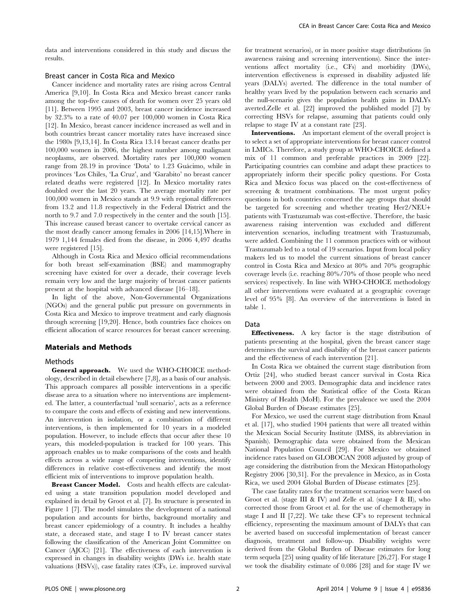data and interventions considered in this study and discuss the results.

## Breast cancer in Costa Rica and Mexico

Cancer incidence and mortality rates are rising across Central America [9,10]. In Costa Rica and Mexico breast cancer ranks among the top-five causes of death for women over 25 years old [11]. Between 1995 and 2003, breast cancer incidence increased by 32.3% to a rate of 40.07 per 100,000 women in Costa Rica [12]. In Mexico, breast cancer incidence increased as well and in both countries breast cancer mortality rates have increased since the 1980s [9,13,14]. In Costa Rica 13.14 breast cancer deaths per 100,000 women in 2006, the highest number among malignant neoplasms, are observed. Mortality rates per 100,000 women range from 28.19 in province 'Dota' to 1.23 Guácimo, while in provinces 'Los Chiles, 'La Cruz', and 'Garabito' no breast cancer related deaths were registered [12]. In Mexico mortality rates doubled over the last 20 years. The average mortality rate per 100,000 women in Mexico stands at 9.9 with regional differences from 13.2 and 11.8 respectively in the Federal District and the north to 9.7 and 7.0 respectively in the center and the south [15]. This increase caused breast cancer to overtake cervical cancer as the most deadly cancer among females in 2006 [14,15].Where in 1979 1,144 females died from the disease, in 2006 4,497 deaths were registered [15].

Although in Costa Rica and Mexico official recommendations for both breast self-examination (BSE) and mammography screening have existed for over a decade, their coverage levels remain very low and the large majority of breast cancer patients present at the hospital with advanced disease [16–18].

In light of the above, Non-Governmental Organizations (NGOs) and the general public put pressure on governments in Costa Rica and Mexico to improve treatment and early diagnosis through screening [19,20]. Hence, both countries face choices on efficient allocation of scarce resources for breast cancer screening.

#### Materials and Methods

#### Methods

General approach. We used the WHO-CHOICE methodology, described in detail elsewhere [7,8], as a basis of our analysis. This approach compares all possible interventions in a specific disease area to a situation where no interventions are implemented. The latter, a counterfactual 'null scenario', acts as a reference to compare the costs and effects of existing and new interventions. An intervention in isolation, or a combination of different interventions, is then implemented for 10 years in a modeled population. However, to include effects that occur after these 10 years, this modeled-population is tracked for 100 years. This approach enables us to make comparisons of the costs and health effects across a wide range of competing interventions, identify differences in relative cost-effectiveness and identify the most efficient mix of interventions to improve population health.

Breast Cancer Model. Costs and health effects are calculated using a state transition population model developed and explained in detail by Groot et al. [7]. Its structure is presented in Figure 1 [7]. The model simulates the development of a national population and accounts for births, background mortality and breast cancer epidemiology of a country. It includes a healthy state, a deceased state, and stage I to IV breast cancer states following the classification of the American Joint Committee on Cancer (AJCC) [21]. The effectiveness of each intervention is expressed in changes in disability weights (DWs i.e. health state valuations (HSVs)), case fatality rates (CFs, i.e. improved survival for treatment scenarios), or in more positive stage distributions (in awareness raising and screening interventions). Since the interventions affect mortality (i.e., CFs) and morbidity (DWs), intervention effectiveness is expressed in disability adjusted life years (DALYs) averted. The difference in the total number of healthy years lived by the population between each scenario and the null-scenario gives the population health gains in DALYs averted.Zelle et al. [22] improved the published model [7] by correcting HSVs for relapse, assuming that patients could only relapse to stage IV at a constant rate [23].

Interventions. An important element of the overall project is to select a set of appropriate interventions for breast cancer control in LMICs. Therefore, a study group at WHO-CHOICE defined a mix of 11 common and preferable practices in 2009 [22]. Participating countries can combine and adapt these practices to appropriately inform their specific policy questions. For Costa Rica and Mexico focus was placed on the cost-effectiveness of screening & treatment combinations. The most urgent policy questions in both countries concerned the age groups that should be targeted for screening and whether treating Her2/NEU+ patients with Trastuzumab was cost-effective. Therefore, the basic awareness raising intervention was excluded and different intervention scenarios, including treatment with Trastuzumab, were added. Combining the 11 common practices with or without Trastuzumab led to a total of 19 scenarios. Input from local policy makers led us to model the current situations of breast cancer control in Costa Rica and Mexico at 80% and 70% geographic coverage levels (i.e. reaching 80%/70% of those people who need services) respectively. In line with WHO-CHOICE methodology all other interventions were evaluated at a geographic coverage level of 95% [8]. An overview of the interventions is listed in table 1.

#### Data

Effectiveness. A key factor is the stage distribution of patients presenting at the hospital, given the breast cancer stage determines the survival and disability of the breast cancer patients and the effectiveness of each intervention [21].

In Costa Rica we obtained the current stage distribution from Ortiz [24], who studied breast cancer survival in Costa Rica between 2000 and 2003. Demographic data and incidence rates were obtained from the Statistical office of the Costa Rican Ministry of Health (MoH). For the prevalence we used the 2004 Global Burden of Disease estimates [25].

For Mexico, we used the current stage distribution from Knaul et al. [17], who studied 1904 patients that were all treated within the Mexican Social Security Institute (IMSS, its abbreviation in Spanish). Demographic data were obtained from the Mexican National Population Council [29]. For Mexico we obtained incidence rates based on GLOBOCAN 2008 adjusted by group of age considering the distribution from the Mexican Histopathology Registry 2006 [30,31]. For the prevalence in Mexico, as in Costa Rica, we used 2004 Global Burden of Disease estimates [25].

The case fatality rates for the treatment scenarios were based on Groot et al. (stage III & IV) and Zelle et al. (stage I & II), who corrected those from Groot et al. for the use of chemotherapy in stage I and II [7,22]. We take these CF's to represent technical efficiency, representing the maximum amount of DALYs that can be averted based on successful implementation of breast cancer diagnosis, treatment and follow-up. Disability weights were derived from the Global Burden of Disease estimates for long term sequela [25] using quality of life literature [26,27]. For stage I we took the disability estimate of 0.086 [28] and for stage IV we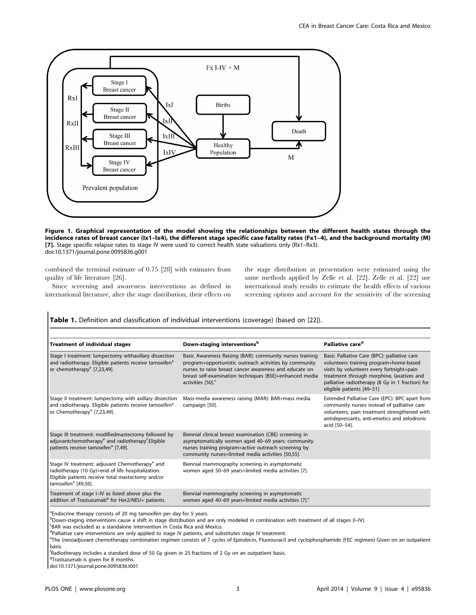

Figure 1. Graphical representation of the model showing the relationships between the different health states through the incidence rates of breast cancer (Ix1–Ix4), the different stage specific case fatality rates (Fx1–4), and the background mortality (M) [7]. Stage specific relapse rates to stage IV were used to correct health state valuations only (Rx1-Rx3). doi:10.1371/journal.pone.0095836.g001

combined the terminal estimate of 0.75 [28] with estimates from quality of life literature [26].

Since screening and awareness interventions as defined in international literature, alter the stage distribution, their effects on the stage distribution at presentation were estimated using the same methods applied by Zelle et al. [22]. Zelle et al. [22] use international study results to estimate the health effects of various screening options and account for the sensitivity of the screening

Table 1. Definition and classification of individual interventions (coverage) (based on [22]).

| <b>Treatment of individual stages</b>                                                                                                                                                                   | Down-staging interventions <sup>b</sup>                                                                                                                                                                                                                                  | Palliative care <sup>d</sup>                                                                                                                                                                                                                                      |
|---------------------------------------------------------------------------------------------------------------------------------------------------------------------------------------------------------|--------------------------------------------------------------------------------------------------------------------------------------------------------------------------------------------------------------------------------------------------------------------------|-------------------------------------------------------------------------------------------------------------------------------------------------------------------------------------------------------------------------------------------------------------------|
| Stage I treatment: lumpectomy withaxillary dissection<br>and radiotherapy. Eligible patients receive tamoxifen <sup>a</sup><br>or chemotherapy <sup>e</sup> [7,23,49].                                  | Basic Awareness Raising (BAR): community nurses training<br>program+opportunistic outreach activities by community<br>nurses to raise breast cancer awareness and educate on<br>breast self-examination techniques (BSE)+enhanced media<br>activities [50]. <sup>c</sup> | Basic Palliative Care (BPC): palliative care<br>volunteers training program+home-based<br>visits by volunteers every fortnight+pain<br>treatment through morphine, laxatives and<br>palliative radiotherapy (8 Gy in 1 fraction) for<br>eligible patients [49-51] |
| Stage II treatment: lumpectomy with axillary dissection<br>and radiotherapy. Eligible patients receive tamoxifen <sup>a</sup><br>or Chemotherapy <sup>e</sup> [7,23,49].                                | Mass-media awareness raising (MAR): BAR+mass media<br>campaign [50].                                                                                                                                                                                                     | Extended Palliative Care (EPC): BPC apart from<br>community nurses instead of palliative care<br>volunteers, pain treatment strengthened with<br>antidepressants, anti-emetics and zelodronic<br>acid [50-54].                                                    |
| Stage III treatment: modifiedmastectomy followed by<br>adjuvantchemotherapy <sup>e</sup> and radiotherapy <sup>f</sup> .Eligible<br>patients receive tamoxifen <sup>a</sup> [7,49].                     | Biennial clinical breast examination (CBE) screening in<br>asymptomatically women aged 40-69 years: community<br>nurses training program+active outreach screening by<br>community nurses+limited media activities [50,55].                                              |                                                                                                                                                                                                                                                                   |
| Stage IV treatment: adjuvant Chemotherapy <sup>e</sup> and<br>radiotherapy (10 Gy)+end of life hospitalization.<br>Eligible patients receive total mastectomy and/or<br>tamoxifen <sup>a</sup> [49,56]. | Biennial mammography screening in asymptomatic<br>women aged 50-69 years+limited media activities [7].                                                                                                                                                                   |                                                                                                                                                                                                                                                                   |
| Treatment of stage I-IV as listed above plus the<br>addition of Trastuzumab <sup>9</sup> for Her2/NEU+ patients.                                                                                        | Biennial mammography screening in asymptomatic<br>women aged 40-69 years+limited media activities [7]. <sup>c</sup>                                                                                                                                                      |                                                                                                                                                                                                                                                                   |

<sup>a</sup>Endocrine therapy consists of 20 mg tamoxifen per day for 5 years.

b<br>Down-staging interventions cause a shift in stage distribution and are only modeled in combination with treatment of all stages (I–IV).

c BAR was excluded as a standalone intervention in Costa Rica and Mexico.

<sup>d</sup>Palliative care interventions are only applied to stage IV patients, and substitutes stage IV treatment.

e The (neo)adjuvant chemotherapy combination regimen consists of 7 cycles of Epirubicin, Fluorouracil and cyclophosphamide (FEC regimen) Given on an outpatient basis.

<sup>f</sup>Radiotherapy includes a standard dose of 50 Gy given in 25 fractions of 2 Gy on an outpatient basis.

<sup>9</sup>Trastuzumab is given for 8 months.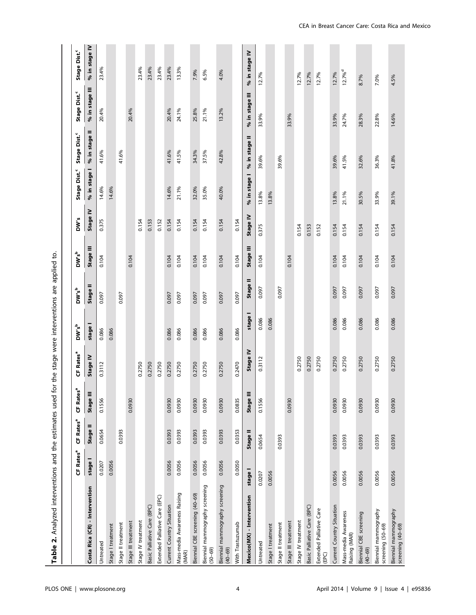| Table 2. Analyzed interventions and the estimates used for the stage were interventions are applied to. |                       |                       |                       |                       |                   |                   |           |          |                          |                          |                |                          |
|---------------------------------------------------------------------------------------------------------|-----------------------|-----------------------|-----------------------|-----------------------|-------------------|-------------------|-----------|----------|--------------------------|--------------------------|----------------|--------------------------|
|                                                                                                         | CF Rates <sup>a</sup> | CF Rates <sup>a</sup> | CF Rates <sup>a</sup> | CF Rates <sup>a</sup> | DW's <sup>b</sup> | DW's <sup>b</sup> | DW'sb     | DW's     | Stage Dist. <sup>c</sup> | Stage Dist. <sup>c</sup> | Stage Dist."   | Stage Dist. <sup>c</sup> |
| Costa Rica (CR) - Intervention                                                                          | stage I               | Stage II              | Stage III             | Stage IV              | stage I           | Stage II          | Stage III | Stage IV | % in stage I             | % in stage II            | % in stage III | % in stage IV            |
| Untreated                                                                                               | 0.0207                | 0.0654                | 0.1556                | 0.3112                | 0.086             | 0.097             | 0.104     | 0.375    | 14.6%                    | 41.6%                    | 20.4%          | 23.4%                    |
| Stage I treatment                                                                                       | 0.0056                |                       |                       |                       | 0.086             |                   |           |          | 14.6%                    |                          |                |                          |
| Stage II treatment                                                                                      |                       | 0.0393                |                       |                       |                   | 0.097             |           |          |                          | 41.6%                    |                |                          |
| Stage III treatment                                                                                     |                       |                       | 0.0930                |                       |                   |                   | 0.104     |          |                          |                          | 20.4%          |                          |
| Stage IV treatment                                                                                      |                       |                       |                       | 0.2750                |                   |                   |           | 0.154    |                          |                          |                | 23.4%                    |
| Basic Palliative Care (BPC)                                                                             |                       |                       |                       | 0.2750                |                   |                   |           | 0.153    |                          |                          |                | 23.4%                    |
| Extended Palliative Care (EPC)                                                                          |                       |                       |                       | 0.2750                |                   |                   |           | 0.152    |                          |                          |                | 23.4%                    |
| Current Country Situation                                                                               | 0.0056                | 0.0393                | 0.0930                | 0.2750                | 0.086             | 0.097             | 0.104     | 0.154    | 14.6%                    | 41.6%                    | 20.4%          | 23.4%                    |
| Mass-media Awareness Raising<br>(MAR)                                                                   | 0.0056                | 0.0393                | 0.0930                | 0.2750                | 0.086             | 0.097             | 0.104     | 0.154    | 21.1%                    | 41.5%                    | 24.1%          | 13.3%                    |
| Biennial CBE screening (40-69)                                                                          | 0.0056                | 0.0393                | 0.0930                | 0.2750                | 0.086             | 0.097             | 0.104     | 0.154    | 32.0%                    | 34.3%                    | 25.8%          | 7.9%                     |
| Biennial mammography screening<br>$(50 - 69)$                                                           | 0.0056                | 0.0393                | 0.0930                | 0.2750                | 0.086             | 0.097             | 0.104     | 0.154    | 35.0%                    | 37.5%                    | 21.1%          | 6.5%                     |
| Biennial mammography screening<br>$(40 - 69)$                                                           | 0.0056                | 0.0393                | 0.0930                | 0.2750                | 0.086             | 0.097             | 0.104     | 0.154    | 40.0%                    | 42.8%                    | 13.2%          | 4.0%                     |
| With Trastuzumab                                                                                        | 0.0050                | 0.0353                | 0.0835                | 0.2470                | 0.086             | 0.097             | 0.104     | 0.154    |                          |                          |                |                          |
| Mexico(MX) - Intervention                                                                               | stage I               | Stage II              | Stage III             | Stage IV              | stage I           | =<br>Stage        | Stage III | Stage IV | % in stage I             | % in stage II            | % in stage III | % in stage IV            |
| Untreated                                                                                               | 0.0207                | 0.0654                | 0.1556                | 0.3112                | 0.086             | 0.097             | 0.104     | 0.375    | 13.8%                    | 39.6%                    | 33.9%          | 12.7%                    |
| Stage I treatment                                                                                       | 0.0056                |                       |                       |                       | 0.086             |                   |           |          | 13.8%                    |                          |                |                          |
| Stage II treatment                                                                                      |                       | 0.0393                |                       |                       |                   | 0.097             |           |          |                          | 39.6%                    |                |                          |
| Stage III treatment                                                                                     |                       |                       | 0.0930                |                       |                   |                   | 0.104     |          |                          |                          | 33.9%          |                          |
| Stage IV treatment                                                                                      |                       |                       |                       | 0.2750                |                   |                   |           | 0.154    |                          |                          |                | 12.7%                    |
| Basic Palliative Care (BPC)                                                                             |                       |                       |                       | 0.2750                |                   |                   |           | 0.153    |                          |                          |                | 12.7%                    |
| Extended Palliative Care<br>(EPC)                                                                       |                       |                       |                       | 0.2750                |                   |                   |           | 0.152    |                          |                          |                | 12.7%                    |
| Current Country Situation                                                                               | 0.0056                | 0.0393                | 0.0930                | 0.2750                | 0.086             | 0.097             | 0.104     | 0.154    | 13.8%                    | 39.6%                    | 33.9%          | 12.7%                    |
| Mass-media Awareness<br>Raising (MAR)                                                                   | 0.0056                | 0.0393                | 0.0930                | 0.2750                | 0.086             | 0.097             | 0.104     | 0.154    | 21.1%                    | 41.5%                    | 24.7%          | $12.7%^{d}$              |
| Biennial CBE screening<br>$(40 - 69)$                                                                   | 0.0056                | 0.0393                | 0.0930                | 0.2750                | 0.086             | 0.097             | 0.104     | 0.154    | 30.5%                    | 32.6%                    | 28.3%          | 8.7%                     |
| Biennial mammography<br>screening (50-69)                                                               | 0.0056                | 0.0393                | 0.0930                | 0.2750                | 0.086             | 0.097             | 0.104     | 0.154    | 33.9%                    | 36.3%                    | 22.8%          | 7.0%                     |
| Biennial mammography<br>screening (40–69)                                                               | 0.0056                | 0.0393                | 0.0930                | 0.2750                | 0.086             | 0.097             | 0.104     | 0.154    | 39.1%                    | 41.8%                    | 14.6%          | 4.5%                     |

## PLOS ONE | www.plosone.org | e95836 4 April 2014 | Volume 9 | Issue 4 | e95836

CEA in Breast Cancer Care: Costa Rica and Mexico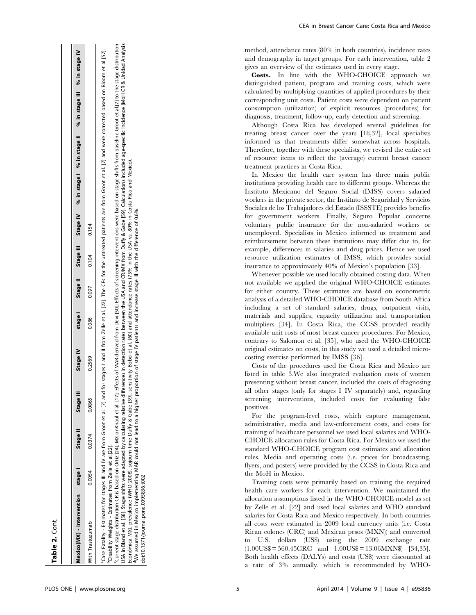| f |
|---|
| ć |
|   |
|   |

| <b>Table 2.</b> Cont.                                                                  |                    |        |                 |  |                                         |  |                                                                                                                                                           |  |
|----------------------------------------------------------------------------------------|--------------------|--------|-----------------|--|-----------------------------------------|--|-----------------------------------------------------------------------------------------------------------------------------------------------------------|--|
| <b><i>Mexico(MX) - Intervention stage I</i></b>                                        | Stage II Stage III |        | <b>Stage IV</b> |  |                                         |  | Stage II Stage III Stage II 9% in stage I % in stage II % in stage III % in stage IV                                                                      |  |
| Vith Trastuzumab                                                                       | $0.0054$ 0.0374    | 0.0865 | 0.2569          |  | $0.086$ $0.104$ $0.097$ $0.000$ $0.004$ |  |                                                                                                                                                           |  |
| ${}^3C$ ase Eatality - Estimates for stages III and IV are from Groot et al. [7] and 1 |                    |        |                 |  |                                         |  | for stages   and    from $7$ elle et al. [22]. The CEs for the untreated patients are from Groot et al. [7] and were corrected based on Bloom et al. [57] |  |

<sup>a</sup>case Fatality - Estimates for stages III and IV are from Groot et al. [7] and for stages I and II from Zelle et al. [22]. The CFs for the untreated patients are from Groot et al. [7] and were corrected based on Bloom et et al.[22] <sup>b</sup>Disability Weights - Estimates from Zelle

[50]; Effects of screening interventions were based on stage shifts from baseline Groot et al.[7] to the stage distribution USA in Bland et al. [58]. Stage shifts were adapted by calculating relative differences in detection rates between the USA and CR/MX from Duffy & Gabe [59]. Calculations included age-specific incidence (MoH CR & Unidad Ana Current stage distribution CR is based on Ortiz [24]; MX onKnaul et al. [17]; Effects of MAR derived from Devi [50]; Effects of screening interventions were based on stage shifts from baseline Groot et al.[7] to the stage included age-specific incidence (MoH CR & Unidad Analysis Económica MX), prevalence (WHO 2008), sojourn time Duffy & Gabe [59], sensitivity Bobo et al. [60] and attendance rates (75% in the USA vs. 80% in Costa Rica and Mexico).<br><sup>4</sup>We assumed in Mexico implementing MAR could not Calculations included<br>sta Rica and Mexico) from Duffy & Gabe [59]. Calc<br>1 the USA vs. 80% in Costa I  $0.6%$ (75% in the USA vs. 80%<br>III with the difference of in Bland et al. [58]. Stage shifts were adapted by calculating relative differences in detection rates between the USA and CR/MX<br>ómica MX), prevalence (WHO 2008), sojourn time Duffy & Gabe [59], sensitivity Bobo et al. [60 Devi [ Current stage distribution CR is based on Ortiz [24]; MX onKnaul et al. [17]; Effects of MAR derived from to a higher proportion USA in Bland Económica we<br>X

doi:10.1371/journal.pone.0095836.t002 doi:10.1371/journal.pone.0095836.t002 method, attendance rates (80% in both countries), incidence rates and demography in target groups. For each intervention, table 2 gives an overview of the estimates used in every stage.

Costs. In line with the WHO-CHOICE approach we distinguished patient, program and training costs, which were calculated by multiplying quantities of applied procedures by their corresponding unit costs. Patient costs were dependent on patient consumption (utilization) of explicit resources (procedures) for diagnosis, treatment, follow-up, early detection and screening.

Although Costa Rica has developed several guidelines for treating breast cancer over the years [18,32], local specialists informed us that treatments differ somewhat across hospitals. Therefore, together with these specialists, we revised the entire set of resource items to reflect the (average) current breast cancer treatment practices in Costa Rica.

In Mexico the health care system has three main public institutions providing health care to different groups. Whereas the Instituto Mexicano del Seguro Social (IMSS) covers salaried workers in the private sector, the Instituto de Seguridad y Servicios Sociales de los Trabajadores del Estado (ISSSTE) provides benefits for government workers. Finally, Seguro Popular concerns voluntary public insurance for the non-salaried workers or unemployed. Specialists in Mexico informed us treatment and reimbursement between these institutions may differ due to, for example, differences in salaries and drug prices. Hence we used resource utilization estimates of IMSS, which provides social insurance to approximately 40% of Mexico's population [33].

Whenever possible we used locally obtained costing data. When not available we applied the original WHO-CHOICE estimates for either country. These estimates are based on econometric analysis of a detailed WHO-CHOICE database from South Africa including a set of standard salaries, drugs, outpatient visits, materials and supplies, capacity utilization and transportation multipliers [34]. In Costa Rica, the CCSS provided readily available unit costs of most breast cancer procedures. For Mexico, contrary to Salomon et al. [35], who used the WHO-CHOICE original estimates on costs, in this study we used a detailed microcosting exercise performed by IMSS [36].

Costs of the procedures used for Costa Rica and Mexico are listed in table 3.We also integrated evaluation costs of women presenting without breast cancer, included the costs of diagnosing all other stages (only for stages I–IV separately) and, regarding screening interventions, included costs for evaluating false positives.

For the program-level costs, which capture management, administrative, media and law-enforcement costs, and costs for training of healthcare personnel we used local salaries and WHO-CHOICE allocation rules for Costa Rica. For Mexico we used the standard WHO-CHOICE program cost estimates and allocation rules. Media and operating costs (i.e. prices for broadcasting, flyers, and posters) were provided by the CCSS in Costa Rica and the MoH in Mexico.

Training costs were primarily based on training the required health care workers for each intervention. We maintained the allocation assumptions listed in the WHO-CHOICE model as set by Zelle et al. [22] and used local salaries and WHO standard salaries for Costa Rica and Mexico respectively. In both countries all costs were estimated in 2009 local currency units (i.e. Costa Rican colones (CRC) and Mexican pesos (MXN)) and converted to U.S. dollars (US\$) using the 2009 exchange rate  $(1.00US\$  = 560.45CRC and  $1.00US\$  = 13.06MXN\\$ [34,35]. Both health effects (DALYs) and costs (US\$) were discounted at a rate of 3% annually, which is recommended by WHO-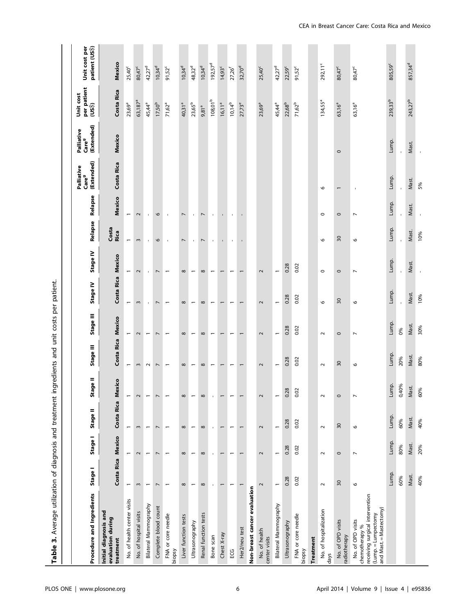| Table 3. Average utilization of diagnosis and treatment ingredients and unit costs per patient.                          |                          |                          |                          |                          |                          |                          |                          |                          |                          |                          | Palliative                      | Palliative                      | Unit cost                   |                                 |
|--------------------------------------------------------------------------------------------------------------------------|--------------------------|--------------------------|--------------------------|--------------------------|--------------------------|--------------------------|--------------------------|--------------------------|--------------------------|--------------------------|---------------------------------|---------------------------------|-----------------------------|---------------------------------|
| Procedure and Ingredients                                                                                                | Stage I                  | Stage I                  | Stage II                 | il əbr<br>šã             | Stage III                | Stage III                | Stage IV                 | Stage IV                 | Relapse                  | Relapse                  | (Extended)<br>Care <sup>g</sup> | (Extended)<br>Care <sup>g</sup> | per patient<br>$(US\sp{3})$ | Unit cost per<br>patient (US\$) |
| Initial diagnosis and<br>evaluation during<br>treatment                                                                  | Costa Rica Mexico        |                          | Costa Rica Mexico        |                          | Costa Rica Mexico        |                          | Costa Rica               | Mexico                   | Costa<br>Rica            | Mexico                   | Costa Rica                      | Mexico                          | Costa Rica                  | Mexico                          |
| No. of health center visits                                                                                              | $\overline{\phantom{0}}$ | $\overline{\phantom{0}}$ | $\overline{\phantom{0}}$ |                          | $\overline{\phantom{0}}$ |                          | $\overline{ }$           | $\overline{\phantom{0}}$ | $\overline{\phantom{0}}$ | $\overline{\phantom{0}}$ |                                 |                                 | $23,69^a$                   | 25,40°                          |
| No. of hospital visits                                                                                                   | $\sim$                   | $\sim$                   | $\sim$                   | $\sim$                   | $\sim$                   | $\sim$                   | $\sim$                   | $\sim$                   | $\sim$                   | $\sim$                   |                                 |                                 | 63,187 <sup>a</sup>         | 80,47 <sup>c</sup>              |
| Bilateral Mammography                                                                                                    | $\overline{\phantom{0}}$ | $\overline{\phantom{m}}$ | $\overline{\phantom{0}}$ | $\overline{ }$           | $\sim$                   | $\overline{\phantom{m}}$ | $\mathbf{r}$             | $\mathbf{r}$             | $\mathbf{r}$             | $\mathbf{r}$             |                                 |                                 | 45,44ª                      | 42,27 <sup>d</sup>              |
| Complete blood count                                                                                                     | $\overline{ }$           | $\overline{\phantom{a}}$ | $\overline{ }$           | $\overline{ }$           | $\overline{\phantom{a}}$ | $\overline{\phantom{a}}$ | $\overline{ }$           | $\overline{ }$           | $\circ$                  | $\circ$                  |                                 |                                 | $17,50^{b}$                 | $10,34^d$                       |
| FNA or core needle<br>biopsy                                                                                             |                          | $\overline{ }$           |                          |                          |                          | $\overline{ }$           | $\overline{ }$           | $\overline{ }$           | $\blacksquare$           | $\mathbf{I}$             |                                 |                                 | $71,62^{a}$                 | $91,52^c$                       |
| Liver function tests                                                                                                     | $\infty$                 | $\infty$                 | $\infty$                 | $\infty$                 | $\infty$                 | $\infty$                 | $\infty$                 | $\infty$                 | $\overline{ }$           | $\overline{ }$           |                                 |                                 | 40,31 <sup>a</sup>          | $10,34^d$                       |
| Ultrasonography                                                                                                          | $\overline{\phantom{0}}$ | $\overline{\phantom{m}}$ | $\overline{\phantom{0}}$ |                          | $\overline{\phantom{0}}$ | $\overline{\phantom{0}}$ | $\overline{ }$           | $\overline{\phantom{m}}$ | $\mathbf{I}$             | $\mathbf{I}$             |                                 |                                 | $23,65^{\mathrm{b}}$        | 48,32 <sup>d</sup>              |
| Renal function tests                                                                                                     | $\infty$                 | $\infty$                 | $\infty$                 | $\infty$                 | $\infty$                 | $\infty$                 | $\infty$                 | $\infty$                 | $\overline{ }$           | $\overline{ }$           |                                 |                                 | 9,81 <sup>a</sup>           | $10,34^d$                       |
| Bone scan                                                                                                                | $\mathbf{I}$             | $\mathbf{r}$             | $\mathbf{r}$             |                          | $\overline{\phantom{0}}$ | $\overline{\phantom{0}}$ | $\overline{ }$           | $\overline{ }$           | $\mathbf{r}$             |                          |                                 |                                 | $108,01^{b}$                | $192,57^d$                      |
| Chest X-ray                                                                                                              |                          | $\overline{ }$           |                          |                          |                          |                          |                          | $\overline{ }$           | $\blacksquare$           |                          |                                 |                                 | $16, 11^a$                  | $14,93^c$                       |
| 53                                                                                                                       |                          |                          |                          |                          | $\overline{\phantom{0}}$ |                          |                          |                          | $\mathbf{r}$             | $\mathbf{r}$             |                                 |                                 | $10,14^{b}$                 | 27,26 <sup>f</sup>              |
| Her2/neu test                                                                                                            | $\overline{ }$           | $\overline{\phantom{0}}$ | $\overline{ }$           | $\overline{ }$           | $\overline{ }$           | $\overline{\phantom{0}}$ | $\overline{ }$           | $\overline{ }$           |                          |                          |                                 |                                 | 27,73 <sup>e</sup>          | 32,70 <sup>d</sup>              |
| Non-breast cancer evaluation                                                                                             |                          |                          |                          |                          |                          |                          |                          |                          |                          |                          |                                 |                                 |                             |                                 |
| No. of health<br>center visits                                                                                           | 2                        | 2                        | 2                        | 2                        | $\sim$                   | 2                        | 2                        | 2                        |                          |                          |                                 |                                 | $23,69^{a}$                 | 25,40°                          |
| Bilateral Mammography                                                                                                    | $\overline{ }$           | $\overline{a}$           | $\overline{ }$           | $\overline{\phantom{0}}$ | $\overline{ }$           | $\overline{ }$           | $\overline{\phantom{0}}$ | $\overline{ }$           |                          |                          |                                 |                                 | 45,44ª                      | 42,27 <sup>d</sup>              |
| Ultrasonography                                                                                                          | 0.28                     | 0.28                     | 0.28                     | 0.28                     | 0.28                     | 0.28                     | 0.28                     | 0.28                     |                          |                          |                                 |                                 | $22,68^b$                   | $22,59^c$                       |
| FNA or core needle<br>biopsy                                                                                             | 0.02                     | 0.02                     | 0.02                     | 0.02                     | 0.02                     | 0.02                     | 0.02                     | 0.02                     |                          |                          |                                 |                                 | $71,62^{b}$                 | $91,52^c$                       |
| Treatment                                                                                                                |                          |                          |                          |                          |                          |                          |                          |                          |                          |                          |                                 |                                 |                             |                                 |
| No. of hospitalization<br>days                                                                                           | $\sim$                   | $\sim$                   | $\sim$                   | $\sim$                   | $\sim$                   | $\sim$                   | $\circ$                  | $\circ$                  | $\circ$                  | $\circ$                  | 6                               |                                 | $134,55^a$                  | 292,11 <sup>c</sup>             |
| No. of OPD visits<br>radiotherapy                                                                                        | 30                       | $\circ$                  | 30                       | $\circ$                  | 30                       | $\circ$                  | 30                       | $\circ$                  | 30                       | $\circ$                  |                                 | $\circ$                         | 63,16ª                      | 80,47 <sup>c</sup>              |
| receiving surgical intervention<br>(Lump. = Lumpectomy<br>and Mast. = Mastectomy)<br>No. of OPD visits<br>chemotherapy % | $\circ$                  | $\overline{ }$           | $\circ$                  | $\overline{ }$           | 6                        | $\overline{ }$           | 9                        | $\overline{ }$           | $\circ$                  | $\overline{ }$           |                                 |                                 | 63,16ª                      | 80,47°                          |
|                                                                                                                          | Lump.                    | Lump.                    | Lump.                    | Lump.                    | Lump.                    | Lump.                    | Lump.                    | Lump.                    | Lump.                    | Lump.                    | Lump.                           | Lump.                           | 239,33 <sup>b</sup>         | 805,59°                         |
|                                                                                                                          | 60%                      | 80%                      | 60%                      | 0,40%                    | 20%                      | 0%                       |                          |                          | $\overline{\phantom{a}}$ |                          |                                 |                                 |                             |                                 |
|                                                                                                                          | Mast.                    | Mast.                    | Mast.                    | Mast.                    | Mast.                    | Mast.                    | Mast.                    | Mast.                    | Mast.                    | Mast.                    | Mast.                           | Mast.                           | $243,27^{b}$                | 857,34 <sup>d</sup>             |
|                                                                                                                          | 40%                      | 20%                      | 40%                      | 60%                      | 80%                      | 30%                      | 10%                      |                          | 10%                      |                          | 5%                              |                                 |                             |                                 |

CEA in Breast Cancer Care: Costa Rica and Mexico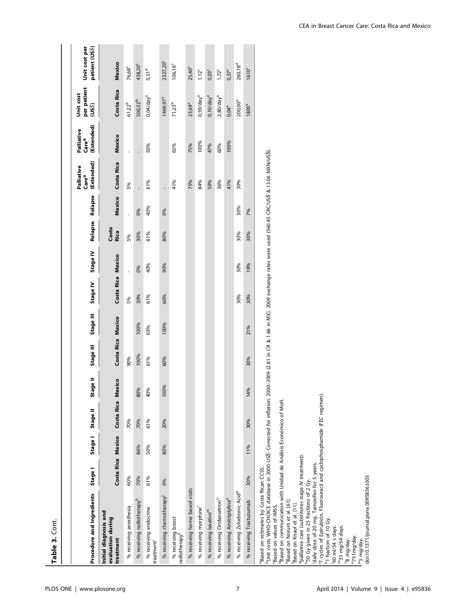| Table 3. Cont.                                                                                                                                                                                                                                                                                                                                          |                   |         |                   |          |                   |           |                   |          |               |         |                                               |                                               |                                    |                                 |
|---------------------------------------------------------------------------------------------------------------------------------------------------------------------------------------------------------------------------------------------------------------------------------------------------------------------------------------------------------|-------------------|---------|-------------------|----------|-------------------|-----------|-------------------|----------|---------------|---------|-----------------------------------------------|-----------------------------------------------|------------------------------------|---------------------------------|
|                                                                                                                                                                                                                                                                                                                                                         |                   |         |                   |          |                   |           |                   |          |               |         |                                               |                                               |                                    |                                 |
| Procedure and Ingredients                                                                                                                                                                                                                                                                                                                               | Stage I           | Stage I | Stage II          | Stage II | Stage III         | Stage III | Stage IV          | Stage IV | Relapse       | Relapse | (Extended)<br>Palliative<br>Care <sup>g</sup> | (Extended)<br>Palliative<br>Care <sup>g</sup> | per patient<br>Unit cost<br>(US\$) | patient (US\$)<br>Unit cost per |
| Initial diagnosis and<br>evaluation during<br>treatment                                                                                                                                                                                                                                                                                                 | Costa Rica Mexico |         | Costa Rica Mexico |          | Costa Rica Mexico |           | Costa Rica Mexico |          | Costa<br>Rica | Mexico  | Costa Rica                                    | Mexico                                        | Costa Rica                         | Mexico                          |
| % receiving anesthesia                                                                                                                                                                                                                                                                                                                                  | 60%               |         | 70%               |          | 90%               |           | 5%                | ï        | 5%            | ï       | 5%                                            | ï                                             | $61,22^{b}$                        | 76,68 <sup>c</sup>              |
| % receiving radiotherapy <sup>h</sup>                                                                                                                                                                                                                                                                                                                   | 70%               | 86%     | 70%               | 80%      | 100%              | 100%      | 30%               | 0%       | 30%           | 0%      | l,                                            |                                               | 500,52 <sup>b</sup>                | 438,20°                         |
| % receiving endocrine<br>treatment                                                                                                                                                                                                                                                                                                                      | 61%               | 50%     | 61%               | 40%      | 61%               | 65%       | 61%               | 40%      | 61%           | 40%     | 61%                                           | 50%                                           | 0,04/day <sup>a</sup>              | $0,51^d$                        |
| % receiving chemotherapy                                                                                                                                                                                                                                                                                                                                | 0%                | 80%     | 20%               | 100%     | 60%               | 100%      | 60%               | 90%      | 80%           | 0%      |                                               |                                               | 1469,97 <sup>a</sup>               | 2327,20 <sup>c</sup>            |
| % receiving boost<br>radiotherapy <sup>k</sup>                                                                                                                                                                                                                                                                                                          |                   |         |                   |          |                   |           |                   |          |               |         | 41%                                           | 65%                                           | $71,23^{b}$                        | $106, 16^{c}$                   |
| % receiving home based visits                                                                                                                                                                                                                                                                                                                           |                   |         |                   |          |                   |           |                   |          |               |         | 75%                                           | 75%                                           | $23,69^a$                          | 25,40°                          |
| % receiving morphine                                                                                                                                                                                                                                                                                                                                    |                   |         |                   |          |                   |           |                   |          |               |         | 84%                                           | 100%                                          | $0,59$ /day <sup>a</sup>           | $1/12^c$                        |
| % receiving laxative <sup>m</sup>                                                                                                                                                                                                                                                                                                                       |                   |         |                   |          |                   |           |                   |          |               |         | 50%                                           | 47%                                           | $0,10$ /day <sup>a</sup>           | $0,03^c$                        |
| % receiving Ondansetron"                                                                                                                                                                                                                                                                                                                                |                   |         |                   |          |                   |           |                   |          |               |         | 36%                                           | 60%                                           | $2,80$ /day <sup>a</sup>           | $1.72^c$                        |
| % receiving Amitriptyline <sup>o</sup>                                                                                                                                                                                                                                                                                                                  |                   |         |                   |          |                   |           |                   |          |               |         | 41%                                           | 100%                                          | $0,04^a$                           | $0,37^c$                        |
| % receiving Zelodronic Acid <sup>P</sup>                                                                                                                                                                                                                                                                                                                |                   |         |                   |          |                   |           | 30%               | 30%      | 30%           | 30%     | 30%                                           |                                               | 200,00ª                            | 260,18 <sup>d</sup>             |
| % receiving Trastuzumab                                                                                                                                                                                                                                                                                                                                 | 30%               | 11%     | 30%               | 14%      | 30%               | 21%       | 30%               | 19%      | 30%           | 7%      |                                               |                                               | 1800 <sup>a</sup>                  | 1610 <sup>c</sup>               |
| bunit costs WHO-CHOICE database in 2000 US\$. Corrected for inflation: 2000-2009 (2.81 in CR & 1.66 in MX). 2009 exchange rates were used (560.45 CRC/US\$ & 13.06 MXN/US\$).<br>Based on communication with Unidad de Análisis Económico of MoH.<br>Based on estimates by Costa Rican CCSS.<br>Based on Norum et al. [61].<br>Based on values of IMSS. |                   |         |                   |          |                   |           |                   |          |               |         |                                               |                                               |                                    |                                 |
| <sup>9</sup> palliative care (substitutes stage IV treatment).<br>Based on Knaul et al. [11].                                                                                                                                                                                                                                                           |                   |         |                   |          |                   |           |                   |          |               |         |                                               |                                               |                                    |                                 |

 $\blacksquare$ 

doi:10.1371/journal.pone.0095836.t003

h50 Gy given in 25 fractions of 2 Gy. idaily dose of 20 mg. Tamoxifen for 5 years. j7 cycles of Epirubicin, Fluorouracil and cyclophosphamide (FEC regimen).

k1 fraction of 10 Gy. l40 ml/54 s days. m35 mg/54 days. n8 mg/day. p5 mg/day. o751mg/day.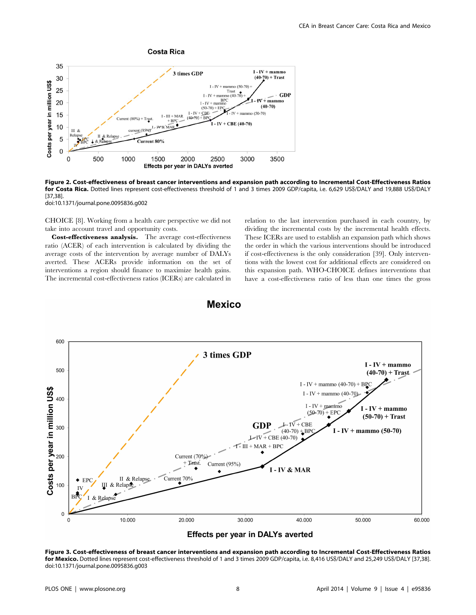

Figure 2. Cost-effectiveness of breast cancer interventions and expansion path according to Incremental Cost-Effectiveness Ratios for Costa Rica. Dotted lines represent cost-effectiveness threshold of 1 and 3 times 2009 GDP/capita, i.e. 6,629 US\$/DALY and 19,888 US\$/DALY [37,38].

doi:10.1371/journal.pone.0095836.g002

CHOICE [8]. Working from a health care perspective we did not take into account travel and opportunity costs.

Cost-effectiveness analysis. The average cost-effectiveness ratio (ACER) of each intervention is calculated by dividing the average costs of the intervention by average number of DALYs averted. These ACERs provide information on the set of interventions a region should finance to maximize health gains. The incremental cost-effectiveness ratios (ICERs) are calculated in relation to the last intervention purchased in each country, by dividing the incremental costs by the incremental health effects. These ICERs are used to establish an expansion path which shows the order in which the various interventions should be introduced if cost-effectiveness is the only consideration [39]. Only interventions with the lowest cost for additional effects are considered on this expansion path. WHO-CHOICE defines interventions that have a cost-effectiveness ratio of less than one times the gross



**Effects per year in DALYs averted** 

Figure 3. Cost-effectiveness of breast cancer interventions and expansion path according to Incremental Cost-Effectiveness Ratios for Mexico. Dotted lines represent cost-effectiveness threshold of 1 and 3 times 2009 GDP/capita, i.e. 8,416 US\$/DALY and 25,249 US\$/DALY [37,38]. doi:10.1371/journal.pone.0095836.g003

**Mexico**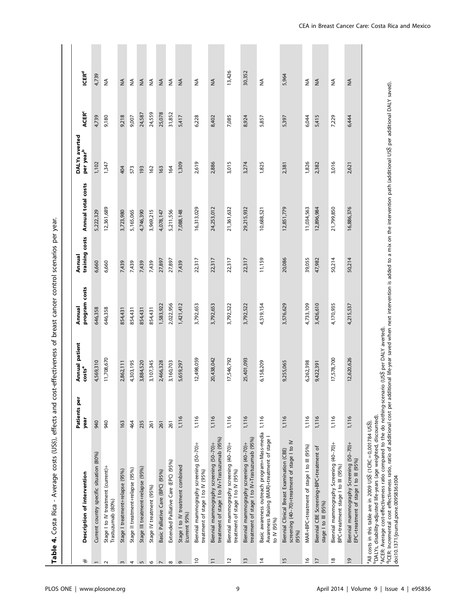| Table 4.        | Costa Rica - Average costs (USS), effects and cost-effectiveness of breast cancer control scenarios per year                                                                                                                                                                                                                                                                                                                                                                                                                           |                      |                                                 |                         |                          |                    |                                        |                         |                         |
|-----------------|----------------------------------------------------------------------------------------------------------------------------------------------------------------------------------------------------------------------------------------------------------------------------------------------------------------------------------------------------------------------------------------------------------------------------------------------------------------------------------------------------------------------------------------|----------------------|-------------------------------------------------|-------------------------|--------------------------|--------------------|----------------------------------------|-------------------------|-------------------------|
|                 |                                                                                                                                                                                                                                                                                                                                                                                                                                                                                                                                        |                      |                                                 |                         |                          |                    |                                        |                         |                         |
| $^{\rm \#}$     | Description of intervention                                                                                                                                                                                                                                                                                                                                                                                                                                                                                                            | Patients per<br>year | Annual patient<br>$\mathsf{costs}^{\mathsf{a}}$ | program costs<br>Annual | training costs<br>Annual | Annual total costs | DALYs averted<br>per year <sup>b</sup> | <b>ACER<sup>c</sup></b> | <b>ICER<sup>d</sup></b> |
|                 | Current country specific situation (80%)                                                                                                                                                                                                                                                                                                                                                                                                                                                                                               | 940                  | 4,569,310                                       | 646,358                 | 6,660                    | 5,222,329          | 1,102                                  | 4,739                   | 4,739                   |
| $\sim$          | Stage I to IV treatment (current)+<br>Trastuzumab (80%)                                                                                                                                                                                                                                                                                                                                                                                                                                                                                | 940                  | 11,708,670                                      | 646,358                 | 6,660                    | 12,361,689         | 1,347                                  | 9,180                   | ≸                       |
| $\mathsf{S}$    | Stage   treatment+relapse (95%)                                                                                                                                                                                                                                                                                                                                                                                                                                                                                                        | 163                  | 2,862,111                                       | 854,431                 | 7,439                    | 3,723,980          | 404                                    | 9,218                   | $\leq$                  |
| 4               | Stage II treatment+relapse (95%)                                                                                                                                                                                                                                                                                                                                                                                                                                                                                                       | 464                  | 4,303,195                                       | 854,431                 | 7,439                    | 5,165,065          | 573                                    | 9,007                   | ₹                       |
| $\overline{5}$  | Stage III treatment+relapse (95%)                                                                                                                                                                                                                                                                                                                                                                                                                                                                                                      | 235                  | 3,884,520                                       | 854,431                 | 7,439                    | 4,746,390          | 193                                    | 24,587                  | $\lessgtr$              |
| $\circ$         | Stage IV treatment (95%)                                                                                                                                                                                                                                                                                                                                                                                                                                                                                                               | 261                  | 3,107,345                                       | 854,431                 | 7,439                    | 3,969,215          | 162                                    | 24,559                  | $\lessgtr$              |
| $\overline{a}$  | Basic Palliative Care (BPC) (95%)                                                                                                                                                                                                                                                                                                                                                                                                                                                                                                      | 261                  | 2,466,328                                       | 1,583,922               | 27,897                   | 4,078,147          | 163                                    | 25,078                  | $\lessgtr$              |
| $\infty$        | Extended Palliative Care (EPC) (95%)                                                                                                                                                                                                                                                                                                                                                                                                                                                                                                   | 261                  | 3,160,703                                       | 2,022,956               | 27,897                   | 5,211,556          | 164                                    | 31,852                  | $\lessgtr$              |
| $\sigma$        | Stage I to IV treatment combined<br>(current 95%)                                                                                                                                                                                                                                                                                                                                                                                                                                                                                      | 1,116                | 5,659,297                                       | 1,421,412               | 7,439                    | 7,088,148          | 1,309                                  | 5,417                   | $\lessgtr$              |
| S               | Biennial mammography screening (50-70)+<br>treatment of stage I to IV (95%)                                                                                                                                                                                                                                                                                                                                                                                                                                                            | 1,116                | 12,498,059                                      | 3,792,653               | 22,317                   | 16,313,029         | 2,619                                  | 6,228                   | ₹                       |
| $\Xi$           | treatment of stage I to IV+Trastuzumab (95%)<br>Biennial mammography screening (50-70)+                                                                                                                                                                                                                                                                                                                                                                                                                                                | 1,116                | 20,438,042                                      | 3,792,653               | 22,317                   | 24,253,012         | 2,886                                  | 8,402                   | $\lessgtr$              |
| $\overline{a}$  | Biennial mammography screening (40-70)+<br>treatment of stage I to IV (95%)                                                                                                                                                                                                                                                                                                                                                                                                                                                            | 1,116                | 17,546,792                                      | 3,792,522               | 22,317                   | 21,361,632         | 3,015                                  | 7,085                   | 13,426                  |
| $\frac{1}{2}$   | treatment of stage I to IV+Trastuzumab (95%)<br>Biennial mammography screening (40-70)+                                                                                                                                                                                                                                                                                                                                                                                                                                                | 1,116                | 25,401,093                                      | 3,792,522               | 22,317                   | 29,215,932         | 3,274                                  | 8,924                   | 30,352                  |
| $\overline{4}$  | Basic awareness outreach program+Mass-media 1,116<br>Awareness Raising (MAR)+treatment of stage I<br>to IV (95%)                                                                                                                                                                                                                                                                                                                                                                                                                       |                      | 6,158,209                                       | 4,519,154               | 11,159                   | 10,688,521         | 1,825                                  | 5,857                   | ₹                       |
| $\frac{5}{2}$   | screening (40-70)+treatment of stage I to IV<br>Biennial Clinical Breast Examination (CBE)<br>(95%)                                                                                                                                                                                                                                                                                                                                                                                                                                    | 1,116                | 9,255,065                                       | 3,576,629               | 20,086                   | 12,851,779         | 2,381                                  | 5,397                   | 5,964                   |
| $\frac{6}{2}$   | MAR+BPC+treatment of stage I to III (95%)                                                                                                                                                                                                                                                                                                                                                                                                                                                                                              | 1,116                | 6,262,398                                       | 4,733,109               | 39,055                   | 11,034,563         | 1,826                                  | 6,044                   | $\lessgtr$              |
| $\overline{1}$  | Biennial CBE Screening+BPC+treatment of<br>stage I to III (95%)                                                                                                                                                                                                                                                                                                                                                                                                                                                                        | 1,116                | 9,422,391                                       | 3,426,610               | 47,982                   | 12,896,984         | 2,382                                  | 5,415                   | $\lessgtr$              |
| $\overline{18}$ | Biennial mammography Screening (40-70)+<br>BPC+treatment stage   to III (95%)                                                                                                                                                                                                                                                                                                                                                                                                                                                          | 1,116                | 17,578,700                                      | 4,170,935               | 50,214                   | 21,799,850         | 3,016                                  | 7,229                   | ₹                       |
| $\overline{6}$  | Biennial mammography Screening (50-70)+<br>EPC+treatment of stage I to III (95%)                                                                                                                                                                                                                                                                                                                                                                                                                                                       | 1,116                | 12,620,626                                      | 4,215,537               | 50,214                   | 16,886,376         | 2,621                                  | 6,444                   | $\lessgtr$              |
|                 | <sup>d</sup> ICER: Incremental cost effectiveness ratio, ratio of additional cost per additional life-year saved when next intervention is added to a mix on the intervention path (additional US\$ per additional DALY saved.)<br>'ACER: Average cost-effectiveness ratio compared to the do nothing-scenario (US\$ per DALY averted).<br>bDALYs, disability-adjusted life-years (age weighted, discounted)<br><sup>a</sup> All costs in this table are in 2009 US\$ (1CRC = 0,001784 US\$).<br>doi:10.1371/journal.pone.0095836.t004 |                      |                                                 |                         |                          |                    |                                        |                         |                         |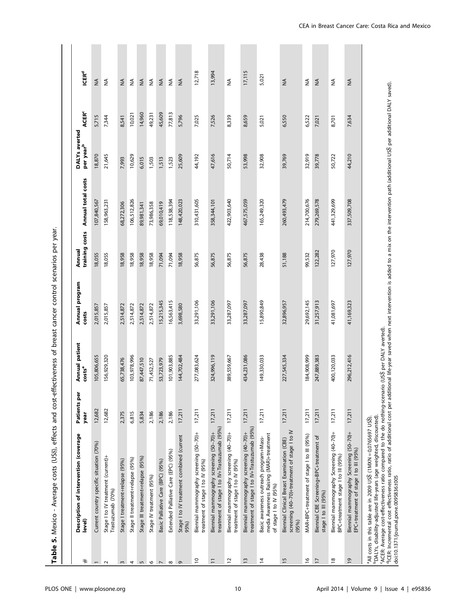|                    | <b>DIIB CIJDIID /(ホウィフ) CICOJ DJDBIDAU</b><br>ソンドミ<br>i                                                                                                                                                                                                                                                                                                                                                                                                                                                                              | じっこつ                        | 로그리 이 그것 나 그것 같은            | うこう<br>Dieses Search    | phonitect Multiply       |                    |                                        |                         |                         |
|--------------------|--------------------------------------------------------------------------------------------------------------------------------------------------------------------------------------------------------------------------------------------------------------------------------------------------------------------------------------------------------------------------------------------------------------------------------------------------------------------------------------------------------------------------------------|-----------------------------|-----------------------------|-------------------------|--------------------------|--------------------|----------------------------------------|-------------------------|-------------------------|
| $^{\rm \#}$        | Description of intervention (coverage<br>level)                                                                                                                                                                                                                                                                                                                                                                                                                                                                                      | <b>Patients per</b><br>year | Annual patient<br>$costs^a$ | Annual program<br>costs | training costs<br>Annual | Annual total costs | DALYs averted<br>per year <sup>b</sup> | <b>ACER<sup>c</sup></b> | <b>ICER<sup>d</sup></b> |
|                    | Current country specific situation (70%)                                                                                                                                                                                                                                                                                                                                                                                                                                                                                             | 12,682                      | 105,806,655                 | 2,015,857               | 18,055                   | 107,840,567        | 18,870                                 | 5,715                   | $\lessgtr$              |
| $\sim$             | Stage I to IV treatment (current)+<br>Trastuzumab (70%)                                                                                                                                                                                                                                                                                                                                                                                                                                                                              | 12,682                      | 156,929,320                 | 2,015,857               | 18,055                   | 158,963,231        | 21,645                                 | 7,344                   | ≨                       |
| $\sim$             | Stage I treatment+relapse (95%)                                                                                                                                                                                                                                                                                                                                                                                                                                                                                                      | 2,375                       | 65,738,476                  | 2,514,872               | 18,958                   | 68,272,306         | 7,993                                  | 8,541                   | ₹                       |
| 4                  | Stage II treatment+relapse (95%)                                                                                                                                                                                                                                                                                                                                                                                                                                                                                                     | 6,815                       | 103,978,996                 | 2,514,872               | 18,958                   | 106,512,826        | 10,629                                 | 10,021                  | $\lessgtr$              |
| $\sqrt{2}$         | Stage III treatment+relapse (95%)                                                                                                                                                                                                                                                                                                                                                                                                                                                                                                    | 5,834                       | 87,447,510                  | 2,514,872               | 18,958                   | 89,981,341         | 6,015                                  | 14,960                  | $\lessgtr$              |
|                    | Stage IV treatment (95%)                                                                                                                                                                                                                                                                                                                                                                                                                                                                                                             | 2,186                       | 71,452,527                  | 2,514,872               | 18,958                   | 73,986,358         | 1,503                                  | 49,231                  | ₹                       |
| $\sim$ $\sim$      | Basic Palliative Care (BPC) (95%)                                                                                                                                                                                                                                                                                                                                                                                                                                                                                                    | 2,186                       | 53,723,979                  | 15,215,345              | 71,094                   | 69,010,419         | 1,513                                  | 45,609                  | $\lessgtr$              |
| $\infty$           | Extended Palliative Care (EPC) (95%)                                                                                                                                                                                                                                                                                                                                                                                                                                                                                                 | 2,186                       | 101,903,885                 | 16,563,415              | 71,094                   | 118,538,394        | 1,523                                  | 77,813                  | ₹                       |
| $\sigma$           | Stage I to IV treatment combined (current<br>95%)                                                                                                                                                                                                                                                                                                                                                                                                                                                                                    | 17,211                      | 144,702,484                 | 3,698,580               | 18,958                   | 148,420,023        | 25,609                                 | 5,796                   | $\frac{4}{2}$           |
| $\overline{c}$     | Biennial mammography screening (50-70)+<br>treatment of stage I to IV (95%)                                                                                                                                                                                                                                                                                                                                                                                                                                                          | 17,211                      | 277,083,624                 | 33,291,106              | 56,875                   | 310,431,605        | 44,192                                 | 7,025                   | 12,718                  |
| $\Xi$              | treatment of stage I to IV+Trastuzumab (95%)<br>Biennial mammography screening (50-70)+                                                                                                                                                                                                                                                                                                                                                                                                                                              | 17,211                      | 324,996,119                 | 33,291,106              | 56,875                   | 358,344,101        | 47,616                                 | 7,526                   | 13,994                  |
| 51                 | Biennial mammography screening (40-70)+<br>treatment of stage I to IV (95%)                                                                                                                                                                                                                                                                                                                                                                                                                                                          | 17,211                      | 389,559,667                 | 33,287,097              | 56,875                   | 422,903,640        | 50,714                                 | 8,339                   | ₹                       |
| 13                 | treatment of stage I to IV+Trastuzumab (95%)<br>Biennial mammography screening (40-70)+                                                                                                                                                                                                                                                                                                                                                                                                                                              | 17,211                      | 434,231,086                 | 33,287,097              | 56,875                   | 467,575,059        | 53,998                                 | 8,659                   | 17,115                  |
| $\overline{4}$     | media Awareness Raising (MAR)+treatment<br>Basic awareness outreach program+Mass-<br>of stage I to IV (95%)                                                                                                                                                                                                                                                                                                                                                                                                                          | 17,211                      | 149,330,033                 | 15,890,849              | 28,438                   | 165,249,320        | 32,908                                 | 5,021                   | 5,021                   |
| $\frac{5}{2}$      | screening (40-70)+treatment of stage I to IV<br>Biennial Clinical Breast Examination (CBE)<br>(95%)                                                                                                                                                                                                                                                                                                                                                                                                                                  | 17,211                      | 227,545,334                 | 32,896,957              | 51,188                   | 260,493,479        | 39,769                                 | 6,550                   | $\lessgtr$              |
| $\frac{\infty}{2}$ | MAR+BPC+treatment of stage I to III (95%)                                                                                                                                                                                                                                                                                                                                                                                                                                                                                            | 17,211                      | 184,908,999                 | 29,692,145              | 99,532                   | 214,700,676        | 32,919                                 | 6,522                   | $\lessgtr$              |
| $\overline{1}$     | Biennial CBE Screening+BPC+treatment of<br>stage   to III (95%)                                                                                                                                                                                                                                                                                                                                                                                                                                                                      | 17,211                      | 247,889,383                 | 31,257,913              | 122,282                  | 279,269,578        | 39,778                                 | 7,021                   | $\lessgtr$              |
| $\overline{18}$    | Biennial mammography Screening (40-70)+<br>BPC+treatment stage I to III (95%)                                                                                                                                                                                                                                                                                                                                                                                                                                                        | 17,211                      | 400,120,033                 | 41,081,697              | 127,970                  | 441,329,699        | 50,722                                 | 8,701                   | ₹                       |
| $\overline{6}$     | Biennial mammography Screening (50–70)+<br>EPC-treatment of stage I to III (95%)                                                                                                                                                                                                                                                                                                                                                                                                                                                     | 17,211                      | 296,212,416                 | 41,169,323              | 127,970                  | 337,509,708        | 44,210                                 | 7,634                   | $\lessgtr$              |
|                    | <sup>d</sup> ICER: Incremental cost effectiveness ratio, ratio of additional cost per additional life-year saved when next intervention is added to a mix on the intervention path (additional US\$ per additional DALY saved).<br>'ACER: Average cost-effectiveness ratio compared to the do nothing-scenario (US\$ per DALY averted)<br>°All costs in this table are in 2009 US\$ (1MXN=0,0765697 US\$).<br><sup>B</sup> DALYs, disability-adjusted life-years (age weighted, discounted)<br>doi:10.1371/journal.pone.0095836.t005 |                             |                             |                         |                          |                    |                                        |                         |                         |

Table 5. Mexico - Average costs (US\$), effects and cost-effectiveness of breast cancer control scenarios per year. Table 5. Mexico - Average costs (US\$), effects and cost-effectiveness of breast cancer control scenarios per year.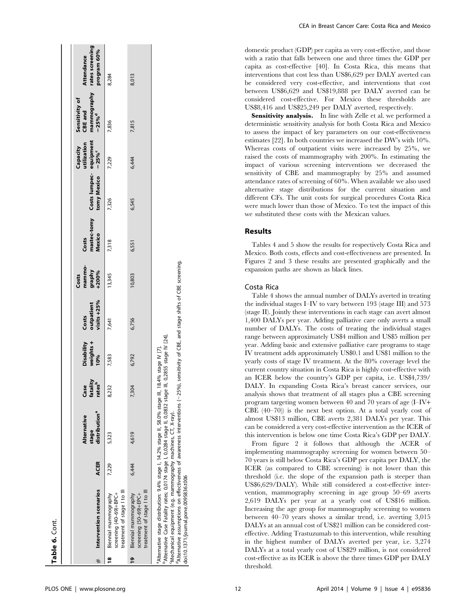|               | Table 6. Cont.                                                                                                                                                                                                                                                                                                                                                                                                                                                    |             |                                                   |                                        |                                       |                                      |                                    |                 |                                                    |                                   |                                                                                 |                           |
|---------------|-------------------------------------------------------------------------------------------------------------------------------------------------------------------------------------------------------------------------------------------------------------------------------------------------------------------------------------------------------------------------------------------------------------------------------------------------------------------|-------------|---------------------------------------------------|----------------------------------------|---------------------------------------|--------------------------------------|------------------------------------|-----------------|----------------------------------------------------|-----------------------------------|---------------------------------------------------------------------------------|---------------------------|
| #             | Intervention scenarios                                                                                                                                                                                                                                                                                                                                                                                                                                            | <b>ACER</b> | distribution <sup>a</sup><br>Alternative<br>stage | fatality<br>rates <sup>b</sup><br>Case | <b>Disability</b><br>weights +<br>10% | visits $+25%$<br>outpatient<br>Costs | mammo-<br>graphy<br>+200%<br>Costs | Mexico<br>Costs | mastec-tomy Costs lumpec- equipment<br>tomy Mexico | utilization<br>Capacity<br>$-25%$ | mammography rates screening<br>Sensitivity of<br>CBE and<br>$-25%$ <sup>d</sup> | program 60%<br>Attendance |
| $\frac{8}{2}$ | treatment of stage I to III<br>screening (40-69)+BPC+<br>Biennial mammography                                                                                                                                                                                                                                                                                                                                                                                     | 7,229       | 5,323                                             | 8,232                                  | 7,583                                 | 7,641                                | 13,345                             | 7,318           | 7,326                                              | 7,229                             | 7,836                                                                           | 8,284                     |
| o,            | treatment of stage I to III<br>Biennial mammography<br>screening (50-69)+EPC+                                                                                                                                                                                                                                                                                                                                                                                     | 6,444       | 4,619                                             | 7,304                                  | 6,792                                 | 6,756                                | 10,803                             | 6,551           | 6,545                                              | 6,444                             | 7,815                                                                           | 8,013                     |
|               | $^d$ Alternative assumptions on effectiveness of awareness interventions ( $-25\%$ ), sensitivity of CBE, and stage shifts of CBE screening.<br>PAlternative Case Fatality rates; 0,0174 stage 1, 0,0284 stage II, 0,0832 stage III, 0,2855 stage IV [24].<br><sup>a</sup> Alternative stage distribution: 9.4% stage l, 14.2% stage ll, 58.0% stage ll!<br>Mechanical equipment (e.g. mammography machines, CT, X-ray).<br>doi:10.1371/journal.pone.0095836.t006 |             |                                                   |                                        | , 18.4% stage IV [7].                 |                                      |                                    |                 |                                                    |                                   |                                                                                 |                           |

CEA in Breast Cancer Care: Costa Rica and Mexico

domestic product (GDP) per capita as very cost-effective, and those with a ratio that falls between one and three times the GDP per capita as cost-effective [40]. In Costa Rica, this means that interventions that cost less than US\$6,629 per DALY averted can be considered very cost-effective, and interventions that cost between US\$6,629 and US\$19,888 per DALY averted can be considered cost-effective. For Mexico these thresholds are US\$8,416 and US\$25,249 per DALY averted, respectively.

Sensitivity analysis. In line with Zelle et al. we performed a deterministic sensitivity analysis for both Costa Rica and Mexico to assess the impact of key parameters on our cost-effectiveness estimates [22]. In both countries we increased the DW's with 10%. Whereas costs of outpatient visits were increased by 25%, we raised the costs of mammography with 200%. In estimating the impact of various screening interventions we decreased the sensitivity of CBE and mammography by 25% and assumed attendance rates of screening of 60%. When available we also used alternative stage distributions for the current situation and different CFs. The unit costs for surgical procedures Costa Rica were much lower than those of Mexico. To test the impact of this we substituted these costs with the Mexican values.

## Results

Tables 4 and 5 show the results for respectively Costa Rica and Mexico. Both costs, effects and cost-effectiveness are presented. In Figures 2 and 3 these results are presented graphically and the expansion paths are shown as black lines.

## Costa Rica

Table 4 shows the annual number of DALYs averted in treating the individual stages I–IV to vary between 193 (stage III) and 573 (stage II). Jointly these interventions in each stage can avert almost 1,400 DALYs per year. Adding palliative care only averts a small number of DALYs. The costs of treating the individual stages range between approximately US\$4 million and US\$5 million per year. Adding basic and extensive palliative care programs to stage IV treatment adds approximately US\$0.1 and US\$1 million to the yearly costs of stage IV treatment. At the 80% coverage level the current country situation in Costa Rica is highly cost-effective with an ICER below the country's GDP per capita, i.e. US\$4,739/ DALY. In expanding Costa Rica's breast cancer services, our analysis shows that treatment of all stages plus a CBE screening program targeting women between 40 and 70 years of age (I–IV+ CBE (40–70)) is the next best option. At a total yearly cost of almost US\$13 million, CBE averts 2,381 DALYs per year. This can be considered a very cost-effective intervention as the ICER of this intervention is below one time Costa Rica's GDP per DALY.

From figure 2 it follows that although the ACER of implementing mammography screening for women between 50– 70 years is still below Costa Rica's GDP per capita per DALY, the ICER (as compared to CBE screening) is not lower than this threshold (i.e. the slope of the expansion path is steeper than US\$6,629/DALY). While still considered a cost-effective intervention, mammography screening in age group 50–69 averts 2,619 DALYs per year at a yearly cost of US\$16 million. Increasing the age group for mammography screening to women between 40–70 years shows a similar trend, i.e. averting 3,015 DALYs at an annual cost of US\$21 million can be considered costeffective. Adding Trastuzumab to this intervention, while resulting in the highest number of DALYs averted per year, i.e. 3,274 DALYs at a total yearly cost of US\$29 million, is not considered cost-effective as its ICER is above the three times GDP per DALY threshold.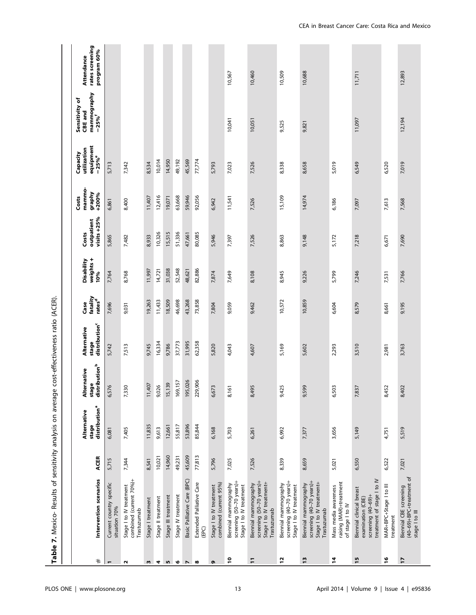|                   | Table 7. Mexico- Results of sensitivity analysis on averag                                          |             |                                                   | $\mathbb U$                                       | cost-effectiveness ratio (ACER)                   |                                        |                                |                                      |                                    |                                                |                                                               |                                              |
|-------------------|-----------------------------------------------------------------------------------------------------|-------------|---------------------------------------------------|---------------------------------------------------|---------------------------------------------------|----------------------------------------|--------------------------------|--------------------------------------|------------------------------------|------------------------------------------------|---------------------------------------------------------------|----------------------------------------------|
| $\ast$            | Intervention scenarios                                                                              | <b>ACER</b> | distribution <sup>a</sup><br>Alternative<br>stage | Alternative<br>stage<br>distribution <sup>b</sup> | distribution <sup>c</sup><br>Alternative<br>stage | fatality<br>rates <sup>d</sup><br>Case | weights +<br>Disability<br>10% | visits $+25%$<br>outpatient<br>Costs | mammo-<br>graphy<br>+200%<br>Costs | equipment<br>utilization<br>Capacity<br>$-25%$ | mammography<br>–25% <sup>f</sup><br>Sensitivity of<br>CBE and | rates screening<br>program 60%<br>Attendance |
| $\blacksquare$    | Current country specific<br>situation 70%                                                           | 5,715       | 6,081                                             | 6,576                                             | 5,742                                             | 7,696                                  | 7,764                          | 5,865                                | 6,861                              | 5,713                                          |                                                               |                                              |
| $\mathbf{\Omega}$ | combined (current 70%)+<br>Stage I to IV treatment<br>Trastuzumab                                   | 7,344       | 7,405                                             | 7,330                                             | 7,513                                             | 9,031                                  | 8,768                          | 7,482                                | 8,400                              | 7,342                                          |                                                               |                                              |
| w                 | Stage   treatment                                                                                   | 8,541       | 11,835                                            | 11,407                                            | 9,745                                             | 19,263                                 | 11,997                         | 8,933                                | 11,407                             | 8,534                                          |                                                               |                                              |
| 4                 | Stage II treatment                                                                                  | 10,021      | 9,613                                             | 9,026                                             | 16,334                                            | 11,433                                 | 14,721                         | 10,326                               | 12,416                             | 10,014                                         |                                                               |                                              |
| <b>In</b>         | Stage III treatment                                                                                 | 14,960      | 12,661                                            | 15,139                                            | 9,786                                             | 18,509                                 | 31,038                         | 15,515                               | 19,071                             | 14,950                                         |                                                               |                                              |
| o                 | Stage IV treatment                                                                                  | 49,231      | 55,817                                            | 169,157                                           | 37,773                                            | 46,698                                 | 52,548                         | 51,336                               | 63,668                             | 49,192                                         |                                                               |                                              |
| $\overline{a}$    | Basic Palliative Care (BPC)                                                                         | 45,609      | 53,896                                            | 195,026                                           | 31,995                                            | 43,268                                 | 48,621                         | 47,661                               | 59,946                             | 45,569                                         |                                                               |                                              |
| $\infty$          | Extended Palliative Care<br>(EPC)                                                                   | 77,813      | 85,844                                            | 229,906                                           | 62,358                                            | 73,858                                 | 82,886                         | 80,085                               | 92,056                             | 77,774                                         |                                                               |                                              |
| G                 | combined (current 95%)<br>Stage I to IV treatment                                                   | 5,796       | 6,168                                             | 6,673                                             | 5,820                                             | 7,804                                  | 7,874                          | 5,946                                | 6,942                              | 5,793                                          |                                                               |                                              |
| $\mathsf{S}$      | screening (50-70 years)+<br>Biennial mammography<br>Stage I to IV treatment                         | 7,025       | 5,703                                             | 61<br>$\infty$                                    | 4,043                                             | 9,059                                  | 7,649                          | 7,397                                | 11,541                             | 7,023                                          | 10,041                                                        | 10,567                                       |
| $\overline{1}$    | screening (50-70 years)+<br>Stage I to IV treatment+<br>Biennial mammography<br>Trastuzumab         | 7,526       | 6,261                                             | 8,495                                             | 4,607                                             | 9,462                                  | 8,108                          | 7,526                                | 7,526                              | 7,526                                          | 10,051                                                        | 10,460                                       |
| 51                | screening (40-70 years)+<br>Biennial mammography<br>Stage I to IV treatment                         | 8,339       | 6,992                                             | 25<br>$\frac{4}{9}$                               | 5,169                                             | 10,572                                 | 8,945                          | 8,863                                | 15,109                             | 8,338                                          | 9,525                                                         | 10,509                                       |
| <u>13</u>         | screening (40-70 years)+<br>Stage I to IV treatment+<br>Biennial mammography<br>Trastuzumab         | 8,659       | 7,377                                             | 9,599                                             | 5,602                                             | 10,859                                 | 9,226                          | 9,148                                | 14,974                             | 8,658                                          | 9,821                                                         | 10,688                                       |
| 4                 | raising (MAR)+treatment<br>Mass media awareness<br>of stage I to IV                                 | 5,021       | 3,656                                             | 6,503                                             | 2,293                                             | 6,604                                  | 5,799                          | 5,172                                | 6,186                              | 5,019                                          |                                                               |                                              |
| 15                | treatment of stage I to IV<br>Biennial clinical breast<br>screening $(40-69)+$<br>examination (CBE) | 6,550       | 5,149                                             | 7,837                                             | 3,510                                             | 8,579                                  | 7,246                          | 7,218                                | 7,097                              | 6,549                                          | 11,097                                                        | 11,711                                       |
| ە;                | MAR+BPC+Stage I to III<br>treatment                                                                 | 6,522       | 4,751                                             | 8,452                                             | 2,981                                             | 8,661                                  | 7,531                          | 6,671                                | 7,613                              | 6,520                                          |                                                               |                                              |
| 77                | (40-69)+BPC+treatment of<br>Biennial CBE screening<br>stage I to III                                | 7,021       | 5,519                                             | 102<br>$\frac{4}{8}$                              | 3,763                                             | 9,195                                  | 7,766                          | 7,690                                | 7,568                              | 7,019                                          | 12,194                                                        | 12,893                                       |
|                   |                                                                                                     |             |                                                   |                                                   |                                                   |                                        |                                |                                      |                                    |                                                |                                                               |                                              |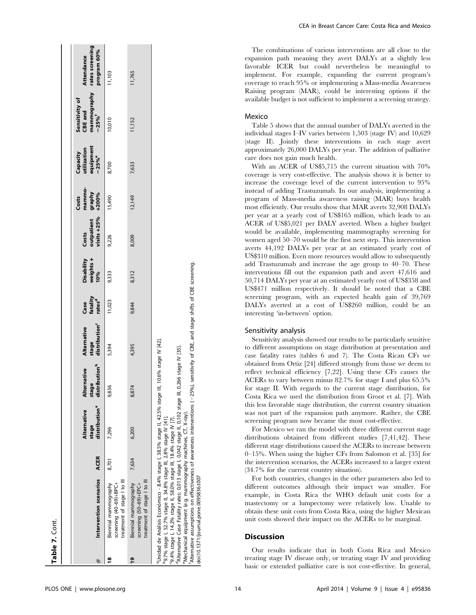|   | Table 7. Cont.                                                                                                                                                                                                                                                                                                                                                                                                                                                                                                                                                    |             |                                                   |                                                         |                                                   |                                        |                                   |                                    |                                    |                                               |                                                               |                                              |
|---|-------------------------------------------------------------------------------------------------------------------------------------------------------------------------------------------------------------------------------------------------------------------------------------------------------------------------------------------------------------------------------------------------------------------------------------------------------------------------------------------------------------------------------------------------------------------|-------------|---------------------------------------------------|---------------------------------------------------------|---------------------------------------------------|----------------------------------------|-----------------------------------|------------------------------------|------------------------------------|-----------------------------------------------|---------------------------------------------------------------|----------------------------------------------|
|   |                                                                                                                                                                                                                                                                                                                                                                                                                                                                                                                                                                   |             |                                                   |                                                         |                                                   |                                        |                                   |                                    |                                    |                                               |                                                               |                                              |
|   | Intervention scenarios                                                                                                                                                                                                                                                                                                                                                                                                                                                                                                                                            | <b>ACER</b> | distribution <sup>a</sup><br>Alternative<br>stage | distribution <sup>b</sup><br><b>Alternative</b><br>tage | distribution <sup>c</sup><br>Alternative<br>stage | Case<br>fatality<br>rates <sup>d</sup> | Disability<br>weights +<br>$10\%$ | outpatient<br>visits +25%<br>Costs | mammo-<br>graphy<br>+200%<br>Costs | equipment<br>-25%°<br>utilization<br>Capacity | mammography<br>–25% <sup>f</sup><br>Sensitivity of<br>CBE and | rates screening<br>program 60%<br>Attendance |
| ≌ | treatment of stage I to III<br>screening (40-69)+BPC+<br>Biennial mammography                                                                                                                                                                                                                                                                                                                                                                                                                                                                                     | 8,701       | 7,296                                             | 836<br>ō                                                | 5,394                                             | 11,023                                 | 9,333                             | 9,226                              | 15,490                             | 8,700                                         | 10,010                                                        | 11,103                                       |
| ø | treatment of stage I to III<br>Biennial mammography<br>screening (50-69)+EPC+                                                                                                                                                                                                                                                                                                                                                                                                                                                                                     | 7,634       | 6,200                                             | 8,874                                                   | 4,395                                             | 9,844                                  | 8,312                             | 8,009                              | 12,149                             | 7,633                                         | 11,152                                                        | 11,765                                       |
|   | Alternative assumptions on effectiveness of awareness interventions (-25%), sensitivity of CBE, and stage shifts of CBE screening.<br>Unidad de Análisis Económico - 8.4% stage I, 38.5% stage II, 42.5% stage III, 10.6% stage IV [42].<br><sup>d</sup> Alternative Case Fatality rates: 0,013 stage 1, 0,042 stage II, 0,102 stage 1<br>"Mechanical equipment (e.g. mammography machines, CT, X-ray).<br>59.4% stage 1, 14.2% stage II, 58.0% stage III, 18.4% stage IV [7].<br><sup>b</sup> 9.7% stage 1, 52.7% stage II, 34.8% stage III, 2.8% stage IV [41]. |             |                                                   | II, 0,266 stage IV [35].                                |                                                   |                                        |                                   |                                    |                                    |                                               |                                                               |                                              |

The combinations of various interventions are all close to the expansion path meaning they avert DALYs at a slightly less favorable ICER but could nevertheless be meaningful to implement. For example, expanding the current program's coverage to reach 95% or implementing a Mass-media Awareness Raising program (MAR), could be interesting options if the available budget is not sufficient to implement a screening strategy.

### Mexico

Table 5 shows that the annual number of DALYs averted in the individual stages I–IV varies between 1,503 (stage IV) and 10,629 (stage II). Jointly these interventions in each stage avert approximately 26,000 DALYs per year. The addition of palliative care does not gain much health.

With an ACER of US\$5,715 the current situation with 70% coverage is very cost-effective. The analysis shows it is better to increase the coverage level of the current intervention to 95% instead of adding Trastuzumab. In our analysis, implementing a program of Mass-media awareness raising (MAR) buys health most efficiently. Our results show that MAR averts 32,908 DALYs per year at a yearly cost of US\$165 million, which leads to an ACER of US\$5,021 per DALY averted. When a higher budget would be available, implementing mammography screening for women aged 50–70 would be the first next step. This intervention averts 44,192 DALYs per year at an estimated yearly cost of US\$310 million. Even more resources would allow to subsequently add Trastuzumab and increase the age group to 40–70. These interventions fill out the expansion path and avert 47,616 and 50,714 DALYs per year at an estimated yearly cost of US\$358 and US\$471 million respectively. It should be noted that a CBE screening program, with an expected health gain of 39,769 DALYs averted at a cost of US\$260 million, could be an interesting 'in-between' option.

## Sensitivity analysis

Sensitivity analysis showed our results to be particularly sensitive to different assumptions on stage distribution at presentation and case fatality rates (tables 6 and 7). The Costa Rican CFs we obtained from Ortiz [24] differed strongly from those we deem to reflect technical efficiency [7,22]. Using these CFs causes the ACERs to vary between minus 82.7% for stage I and plus 65.5% for stage II. With regards to the current stage distribution, for Costa Rica we used the distribution from Groot et al. [7]. With this less favorable stage distribution, the current country situation was not part of the expansion path anymore. Rather, the CBE screening program now became the most cost-effective.

For Mexico we ran the model with three different current stage distributions obtained from different studies [7,41,42]. These different stage distributions caused the ACERs to increase between 0–15%. When using the higher CFs from Salomon et al. [35] for the intervention scenarios, the ACERs increased to a larger extent (34.7% for the current country situation).

For both countries, changes in the other parameters also led to different outcomes although their impact was smaller. For example, in Costa Rica the WHO default unit costs for a mastectomy or a lumpectomy were relatively low. Unable to obtain these unit costs from Costa Rica, using the higher Mexican unit costs showed their impact on the ACERs to be marginal.

#### **Discussion**

Our results indicate that in both Costa Rica and Mexico treating stage IV disease only, or treating stage IV and providing basic or extended palliative care is not cost-effective. In general,

doi:10.1371/journal.pone.0095836.t007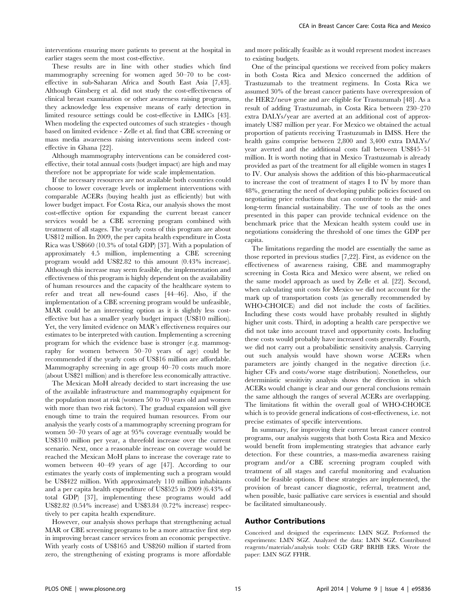interventions ensuring more patients to present at the hospital in earlier stages seem the most cost-effective.

These results are in line with other studies which find mammography screening for women aged 50–70 to be costeffective in sub-Saharan Africa and South East Asia [7,43]. Although Ginsberg et al. did not study the cost-effectiveness of clinical breast examination or other awareness raising programs, they acknowledge less expensive means of early detection in limited resource settings could be cost-effective in LMICs [43]. When modeling the expected outcomes of such strategies - though based on limited evidence - Zelle et al. find that CBE screening or mass media awareness raising interventions seem indeed costeffective in Ghana [22].

Although mammography interventions can be considered costeffective, their total annual costs (budget impact) are high and may therefore not be appropriate for wide scale implementation.

If the necessary resources are not available both countries could choose to lower coverage levels or implement interventions with comparable ACERs (buying health just as efficiently) but with lower budget impact. For Costa Rica, our analysis shows the most cost-effective option for expanding the current breast cancer services would be a CBE screening program combined with treatment of all stages. The yearly costs of this program are about US\$12 million. In 2009, the per capita health expenditure in Costa Rica was US\$660 (10.3% of total GDP) [37]. With a population of approximately 4.5 million, implementing a CBE screening program would add US\$2.82 to this amount (0.43% increase). Although this increase may seem feasible, the implementation and effectiveness of this program is highly dependent on the availability of human resources and the capacity of the healthcare system to refer and treat all new-found cases [44–46]. Also, if the implementation of a CBE screening program would be unfeasible, MAR could be an interesting option as it is slightly less costeffective but has a smaller yearly budget impact (US\$10 million). Yet, the very limited evidence on MAR's effectiveness requires our estimates to be interpreted with caution. Implementing a screening program for which the evidence base is stronger (e.g. mammography for women between 50–70 years of age) could be recommended if the yearly costs of US\$16 million are affordable. Mammography screening in age group 40–70 costs much more (about US\$21 million) and is therefore less economically attractive.

The Mexican MoH already decided to start increasing the use of the available infrastructure and mammography equipment for the population most at risk (women 50 to 70 years old and women with more than two risk factors). The gradual expansion will give enough time to train the required human resources. From our analysis the yearly costs of a mammography screening program for women 50–70 years of age at 95% coverage eventually would be US\$310 million per year, a threefold increase over the current scenario. Next, once a reasonable increase on coverage would be reached the Mexican MoH plans to increase the coverage rate to women between 40–49 years of age [47]. According to our estimates the yearly costs of implementing such a program would be US\$422 million. With approximately 110 million inhabitants and a per capita health expenditure of US\$525 in 2009 (6.43% of total GDP) [37], implementing these programs would add US\$2.82 (0.54% increase) and US\$3.84 (0.72% increase) respectively to per capita health expenditure.

However, our analysis shows perhaps that strengthening actual MAR or CBE screening programs to be a more attractive first step in improving breast cancer services from an economic perspective. With yearly costs of US\$165 and US\$260 million if started from zero, the strengthening of existing programs is more affordable and more politically feasible as it would represent modest increases to existing budgets.

One of the principal questions we received from policy makers in both Costa Rica and Mexico concerned the addition of Trastuzumab to the treatment regimens. In Costa Rica we assumed 30% of the breast cancer patients have overexpression of the HER2/neu+ gene and are eligible for Trastuzumab [48]. As a result of adding Trastuzumab, in Costa Rica between 230–270 extra DALYs/year are averted at an additional cost of approximately US\$7 million per year. For Mexico we obtained the actual proportion of patients receiving Trastuzumab in IMSS. Here the health gains comprise between 2,800 and 3,400 extra DALYs/ year averted and the additional costs fall between US\$45–51 million. It is worth noting that in Mexico Trastuzumab is already provided as part of the treatment for all eligible women in stages I to IV. Our analysis shows the addition of this bio-pharmaceutical to increase the cost of treatment of stages I to IV by more than 48%, generating the need of developing public policies focused on negotiating price reductions that can contribute to the mid- and long-term financial sustainability. The use of tools as the ones presented in this paper can provide technical evidence on the benchmark price that the Mexican health system could use in negotiations considering the threshold of one times the GDP per capita.

The limitations regarding the model are essentially the same as those reported in previous studies [7,22]. First, as evidence on the effectiveness of awareness raising, CBE and mammography screening in Costa Rica and Mexico were absent, we relied on the same model approach as used by Zelle et al. [22]. Second, when calculating unit costs for Mexico we did not account for the mark up of transportation costs (as generally recommended by WHO-CHOICE) and did not include the costs of facilities. Including these costs would have probably resulted in slightly higher unit costs. Third, in adopting a health care perspective we did not take into account travel and opportunity costs. Including these costs would probably have increased costs generally. Fourth, we did not carry out a probabilistic sensitivity analysis. Carrying out such analysis would have shown worse ACERs when parameters are jointly changed in the negative direction (i.e. higher CFs and costs/worse stage distribution). Nonetheless, our deterministic sensitivity analysis shows the direction in which ACERs would change is clear and our general conclusions remain the same although the ranges of several ACERs are overlapping. The limitations fit within the overall goal of WHO-CHOICE which is to provide general indications of cost-effectiveness, i.e. not precise estimates of specific interventions.

In summary, for improving their current breast cancer control programs, our analysis suggests that both Costa Rica and Mexico would benefit from implementing strategies that advance early detection. For these countries, a mass-media awareness raising program and/or a CBE screening program coupled with treatment of all stages and careful monitoring and evaluation could be feasible options. If these strategies are implemented, the provision of breast cancer diagnostic, referral, treatment and, when possible, basic palliative care services is essential and should be facilitated simultaneously.

## Author Contributions

Conceived and designed the experiments: LMN SGZ. Performed the experiments: LMN SGZ. Analyzed the data: LMN SGZ. Contributed reagents/materials/analysis tools: CGD GRP BRHB ERS. Wrote the paper: LMN SGZ FFHR.